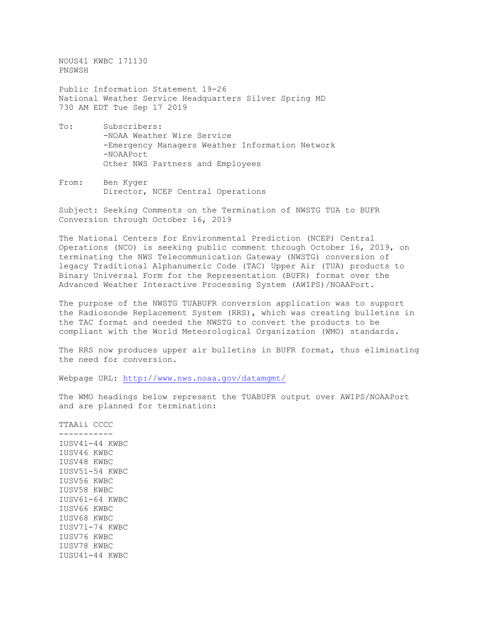NOUS41 KWBC 171130 PNSWSH

Public Information Statement 19-26 National Weather Service Headquarters Silver Spring MD 730 AM EDT Tue Sep 17 2019

- To: Subscribers: -NOAA Weather Wire Service -Emergency Managers Weather Information Network -NOAAPort Other NWS Partners and Employees
- From: Ben Kyger Director, NCEP Central Operations

Subject: Seeking Comments on the Termination of NWSTG TUA to BUFR Conversion through October 16, 2019

The National Centers for Environmental Prediction (NCEP) Central Operations (NCO) is seeking public comment through October 16, 2019, on terminating the NWS Telecommunication Gateway (NWSTG) conversion of legacy Traditional Alphanumeric Code (TAC) Upper Air (TUA) products to Binary Universal Form for the Representation (BUFR) format over the Advanced Weather Interactive Processing System (AWIPS)/NOAAPort.

The purpose of the NWSTG TUABUFR conversion application was to support the Radiosonde Replacement System (RRS), which was creating bulletins in the TAC format and needed the NWSTG to convert the products to be compliant with the World Meteorological Organization (WMO) standards.

The RRS now produces upper air bulletins in BUFR format, thus eliminating the need for conversion.

Webpage URL:<http://www.nws.noaa.gov/datamgmt/>

The WMO headings below represent the TUABUFR output over AWIPS/NOAAPort and are planned for termination:

TTAAii CCCC ----------- IUSV41-44 KWBC IUSV46 KWBC IUSV48 KWBC IUSV51-54 KWBC IUSV56 KWBC IUSV58 KWBC IUSV61-64 KWBC IUSV66 KWBC IUSV68 KWBC IUSV71-74 KWBC IUSV76 KWBC IUSV78 KWBC IUSU41-44 KWBC